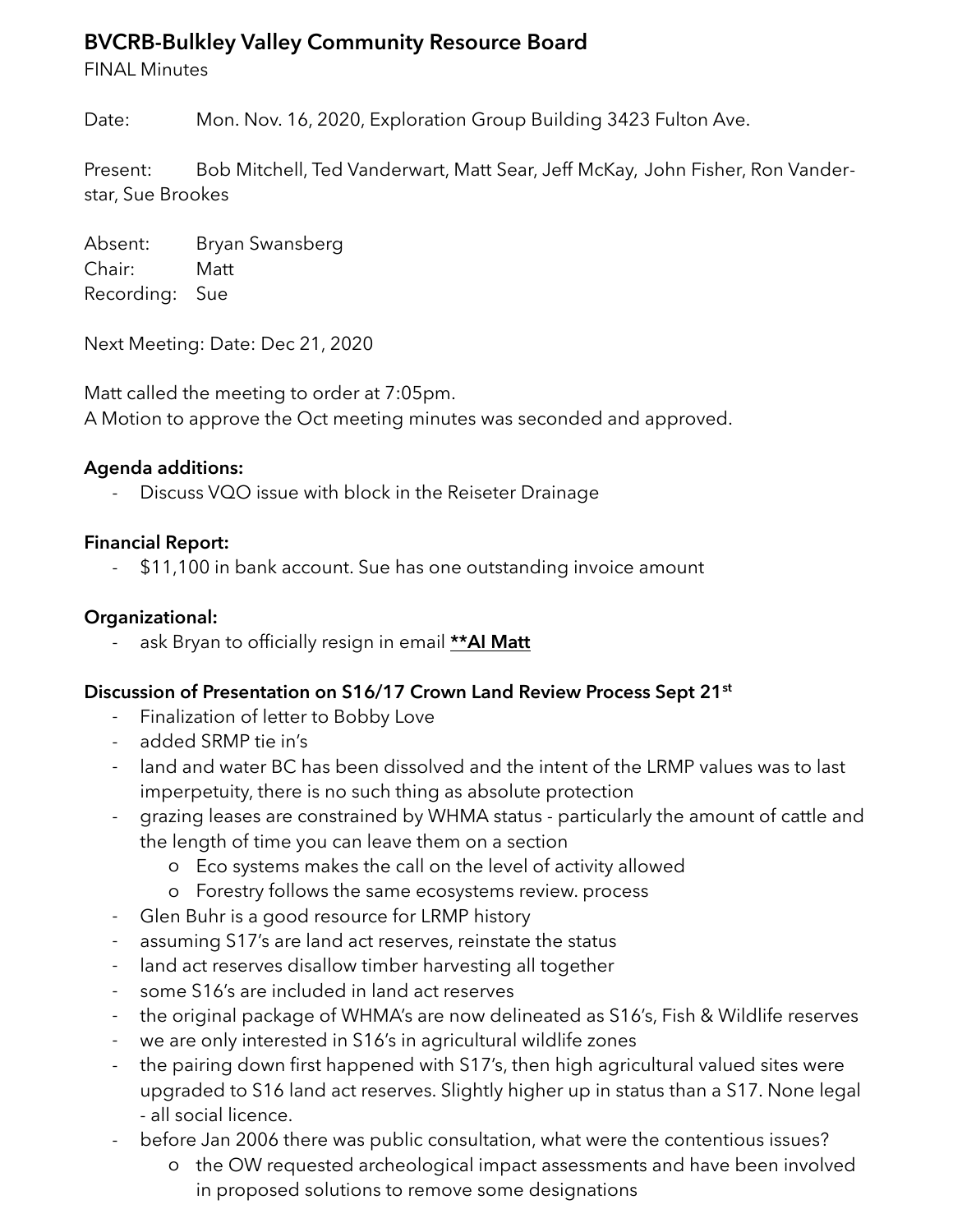# **BVCRB-Bulkley Valley Community Resource Board**

FINAL Minutes

Date: Mon. Nov. 16, 2020, Exploration Group Building 3423 Fulton Ave.

Present: Bob Mitchell, Ted Vanderwart, Matt Sear, Jeff McKay, John Fisher, Ron Vanderstar, Sue Brookes

Absent: Bryan Swansberg Chair: Matt Recording: Sue

Next Meeting: Date: Dec 21, 2020

Matt called the meeting to order at 7:05pm. A Motion to approve the Oct meeting minutes was seconded and approved.

#### **Agenda additions:**

Discuss VQO issue with block in the Reiseter Drainage

#### **Financial Report:**

\$11,100 in bank account. Sue has one outstanding invoice amount

#### **Organizational:**

ask Bryan to officially resign in email **\*\*AI Matt** 

#### **Discussion of Presentation on S16/17 Crown Land Review Process Sept 21st**

- Finalization of letter to Bobby Love
- added SRMP tie in's
- land and water BC has been dissolved and the intent of the LRMP values was to last imperpetuity, there is no such thing as absolute protection
- grazing leases are constrained by WHMA status particularly the amount of cattle and the length of time you can leave them on a section
	- o Eco systems makes the call on the level of activity allowed
	- o Forestry follows the same ecosystems review. process
- Glen Buhr is a good resource for LRMP history
- assuming S17's are land act reserves, reinstate the status
- land act reserves disallow timber harvesting all together
- some S16's are included in land act reserves
- the original package of WHMA's are now delineated as S16's, Fish & Wildlife reserves
- we are only interested in S16's in agricultural wildlife zones
- the pairing down first happened with S17's, then high agricultural valued sites were upgraded to S16 land act reserves. Slightly higher up in status than a S17. None legal - all social licence.
- before Jan 2006 there was public consultation, what were the contentious issues?
	- o the OW requested archeological impact assessments and have been involved in proposed solutions to remove some designations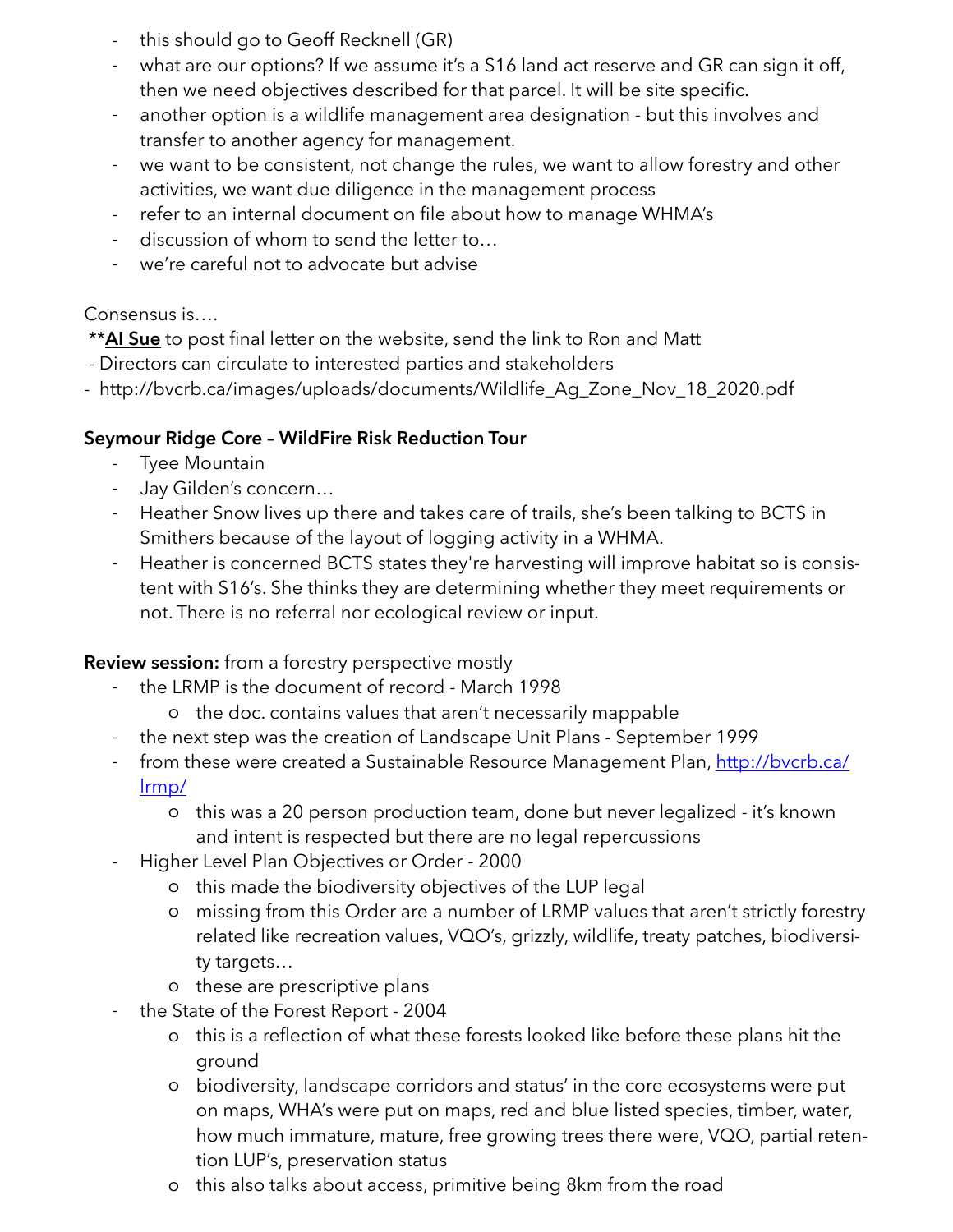- this should go to Geoff Recknell (GR)
- what are our options? If we assume it's a S16 land act reserve and GR can sign it off, then we need objectives described for that parcel. It will be site specific.
- another option is a wildlife management area designation but this involves and transfer to another agency for management.
- we want to be consistent, not change the rules, we want to allow forestry and other activities, we want due diligence in the management process
- refer to an internal document on file about how to manage WHMA's
- discussion of whom to send the letter to...
- we're careful not to advocate but advise

### Consensus is….

\*\***AI Sue** to post final letter on the website, send the link to Ron and Matt

- Directors can circulate to interested parties and stakeholders
- http://bvcrb.ca/images/uploads/documents/Wildlife\_Ag\_Zone\_Nov\_18\_2020.pdf

## **Seymour Ridge Core – WildFire Risk Reduction Tour**

- Tyee Mountain
- Jay Gilden's concern…
- Heather Snow lives up there and takes care of trails, she's been talking to BCTS in Smithers because of the layout of logging activity in a WHMA.
- Heather is concerned BCTS states they're harvesting will improve habitat so is consistent with S16's. She thinks they are determining whether they meet requirements or not. There is no referral nor ecological review or input.

## **Review session:** from a forestry perspective mostly

- the LRMP is the document of record March 1998
	- o the doc. contains values that aren't necessarily mappable
- the next step was the creation of Landscape Unit Plans September 1999
- [from these were created a Sustainable Resource Management Plan, http://bvcrb.ca/](http://bvcrb.ca/lrmp/) lrmp/
	- o this was a 20 person production team, done but never legalized it's known and intent is respected but there are no legal repercussions
- Higher Level Plan Objectives or Order 2000
	- o this made the biodiversity objectives of the LUP legal
	- o missing from this Order are a number of LRMP values that aren't strictly forestry related like recreation values, VQO's, grizzly, wildlife, treaty patches, biodiversity targets…
	- o these are prescriptive plans
	- the State of the Forest Report 2004
		- o this is a reflection of what these forests looked like before these plans hit the ground
		- o biodiversity, landscape corridors and status' in the core ecosystems were put on maps, WHA's were put on maps, red and blue listed species, timber, water, how much immature, mature, free growing trees there were, VQO, partial retention LUP's, preservation status
		- o this also talks about access, primitive being 8km from the road